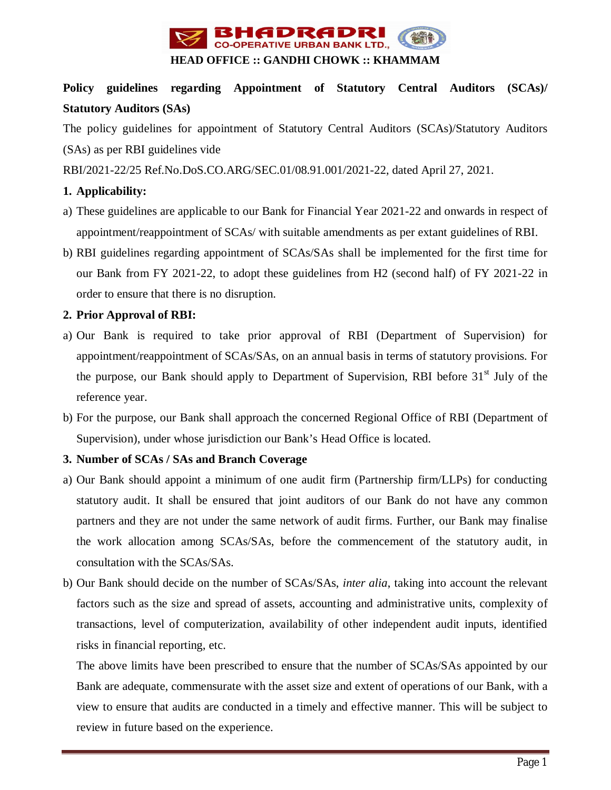

# **Policy guidelines regarding Appointment of Statutory Central Auditors (SCAs)/ Statutory Auditors (SAs)**

The policy guidelines for appointment of Statutory Central Auditors (SCAs)/Statutory Auditors (SAs) as per RBI guidelines vide

RBI/2021-22/25 Ref.No.DoS.CO.ARG/SEC.01/08.91.001/2021-22, dated April 27, 2021.

## **1. Applicability:**

- a) These guidelines are applicable to our Bank for Financial Year 2021-22 and onwards in respect of appointment/reappointment of SCAs/ with suitable amendments as per extant guidelines of RBI.
- b) RBI guidelines regarding appointment of SCAs/SAs shall be implemented for the first time for our Bank from FY 2021-22, to adopt these guidelines from H2 (second half) of FY 2021-22 in order to ensure that there is no disruption.

# **2. Prior Approval of RBI:**

- a) Our Bank is required to take prior approval of RBI (Department of Supervision) for appointment/reappointment of SCAs/SAs, on an annual basis in terms of statutory provisions. For the purpose, our Bank should apply to Department of Supervision, RBI before  $31<sup>st</sup>$  July of the reference year.
- b) For the purpose, our Bank shall approach the concerned Regional Office of RBI (Department of Supervision), under whose jurisdiction our Bank's Head Office is located.

# **3. Number of SCAs / SAs and Branch Coverage**

- a) Our Bank should appoint a minimum of one audit firm (Partnership firm/LLPs) for conducting statutory audit. It shall be ensured that joint auditors of our Bank do not have any common partners and they are not under the same network of audit firms. Further, our Bank may finalise the work allocation among SCAs/SAs, before the commencement of the statutory audit, in consultation with the SCAs/SAs.
- b) Our Bank should decide on the number of SCAs/SAs, *inter alia*, taking into account the relevant factors such as the size and spread of assets, accounting and administrative units, complexity of transactions, level of computerization, availability of other independent audit inputs, identified risks in financial reporting, etc.

The above limits have been prescribed to ensure that the number of SCAs/SAs appointed by our Bank are adequate, commensurate with the asset size and extent of operations of our Bank, with a view to ensure that audits are conducted in a timely and effective manner. This will be subject to review in future based on the experience.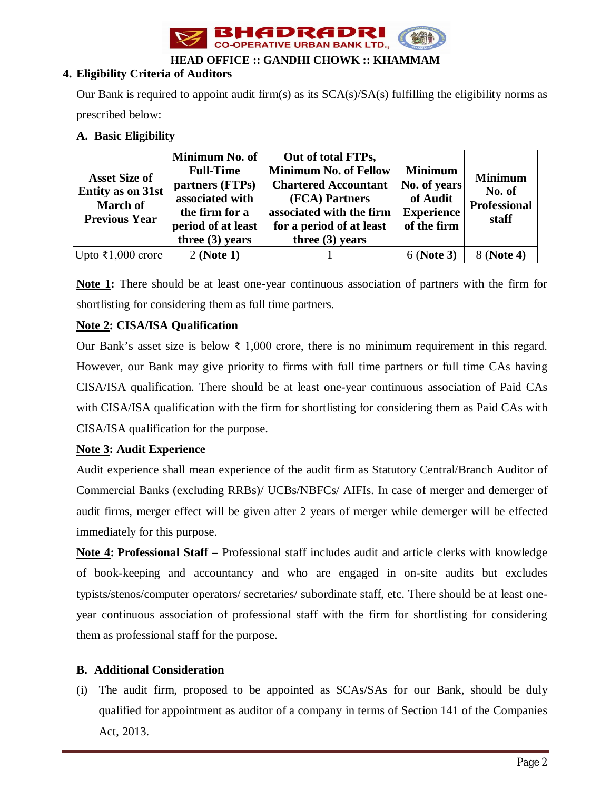

**HEAD OFFICE :: GANDHI CHOWK :: KHAMMAM**

# **4. Eligibility Criteria of Auditors**

Our Bank is required to appoint audit firm(s) as its  $SCA(s)/SA(s)$  fulfilling the eligibility norms as prescribed below:

# **A. Basic Eligibility**

| <b>Asset Size of</b><br><b>Entity as on 31st</b><br><b>March of</b><br><b>Previous Year</b> | Minimum No. of<br><b>Full-Time</b><br>partners (FTPs)<br>associated with<br>the firm for a<br>period of at least<br>three $(3)$ years | Out of total FTPs,<br><b>Minimum No. of Fellow</b><br><b>Chartered Accountant</b><br>(FCA) Partners<br>associated with the firm<br>for a period of at least<br>three $(3)$ years | <b>Minimum</b><br>No. of years<br>of Audit<br><b>Experience</b><br>of the firm | <b>Minimum</b><br>No. of<br><b>Professional</b><br>staff |
|---------------------------------------------------------------------------------------------|---------------------------------------------------------------------------------------------------------------------------------------|----------------------------------------------------------------------------------------------------------------------------------------------------------------------------------|--------------------------------------------------------------------------------|----------------------------------------------------------|
| Upto ₹1,000 crore                                                                           | 2 (Note 1)                                                                                                                            |                                                                                                                                                                                  | 6 (Note 3)                                                                     | 8 (Note 4)                                               |

**Note 1:** There should be at least one-year continuous association of partners with the firm for shortlisting for considering them as full time partners.

# **Note 2: CISA/ISA Qualification**

Our Bank's asset size is below ₹ 1,000 crore, there is no minimum requirement in this regard. However, our Bank may give priority to firms with full time partners or full time CAs having CISA/ISA qualification. There should be at least one-year continuous association of Paid CAs with CISA/ISA qualification with the firm for shortlisting for considering them as Paid CAs with CISA/ISA qualification for the purpose.

# **Note 3: Audit Experience**

Audit experience shall mean experience of the audit firm as Statutory Central/Branch Auditor of Commercial Banks (excluding RRBs)/ UCBs/NBFCs/ AIFIs. In case of merger and demerger of audit firms, merger effect will be given after 2 years of merger while demerger will be effected immediately for this purpose.

**Note 4: Professional Staff –** Professional staff includes audit and article clerks with knowledge of book-keeping and accountancy and who are engaged in on-site audits but excludes typists/stenos/computer operators/ secretaries/ subordinate staff, etc. There should be at least oneyear continuous association of professional staff with the firm for shortlisting for considering them as professional staff for the purpose.

# **B. Additional Consideration**

(i) The audit firm, proposed to be appointed as SCAs/SAs for our Bank, should be duly qualified for appointment as auditor of a company in terms of Section 141 of the Companies Act, 2013.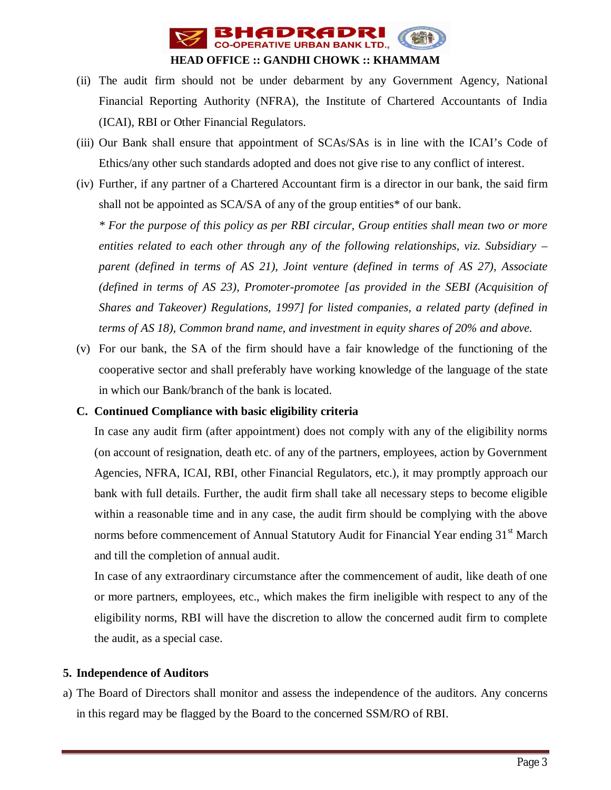

- (ii) The audit firm should not be under debarment by any Government Agency, National Financial Reporting Authority (NFRA), the Institute of Chartered Accountants of India (ICAI), RBI or Other Financial Regulators.
- (iii) Our Bank shall ensure that appointment of SCAs/SAs is in line with the ICAI's Code of Ethics/any other such standards adopted and does not give rise to any conflict of interest.
- (iv) Further, if any partner of a Chartered Accountant firm is a director in our bank, the said firm shall not be appointed as SCA/SA of any of the group entities\* of our bank.

*\* For the purpose of this policy as per RBI circular, Group entities shall mean two or more entities related to each other through any of the following relationships, viz. Subsidiary – parent (defined in terms of AS 21), Joint venture (defined in terms of AS 27), Associate (defined in terms of AS 23), Promoter-promotee [as provided in the SEBI (Acquisition of Shares and Takeover) Regulations, 1997] for listed companies, a related party (defined in terms of AS 18), Common brand name, and investment in equity shares of 20% and above.* 

(v) For our bank, the SA of the firm should have a fair knowledge of the functioning of the cooperative sector and shall preferably have working knowledge of the language of the state in which our Bank/branch of the bank is located.

#### **C. Continued Compliance with basic eligibility criteria**

In case any audit firm (after appointment) does not comply with any of the eligibility norms (on account of resignation, death etc. of any of the partners, employees, action by Government Agencies, NFRA, ICAI, RBI, other Financial Regulators, etc.), it may promptly approach our bank with full details. Further, the audit firm shall take all necessary steps to become eligible within a reasonable time and in any case, the audit firm should be complying with the above norms before commencement of Annual Statutory Audit for Financial Year ending 31<sup>st</sup> March and till the completion of annual audit.

In case of any extraordinary circumstance after the commencement of audit, like death of one or more partners, employees, etc., which makes the firm ineligible with respect to any of the eligibility norms, RBI will have the discretion to allow the concerned audit firm to complete the audit, as a special case.

#### **5. Independence of Auditors**

a) The Board of Directors shall monitor and assess the independence of the auditors. Any concerns in this regard may be flagged by the Board to the concerned SSM/RO of RBI.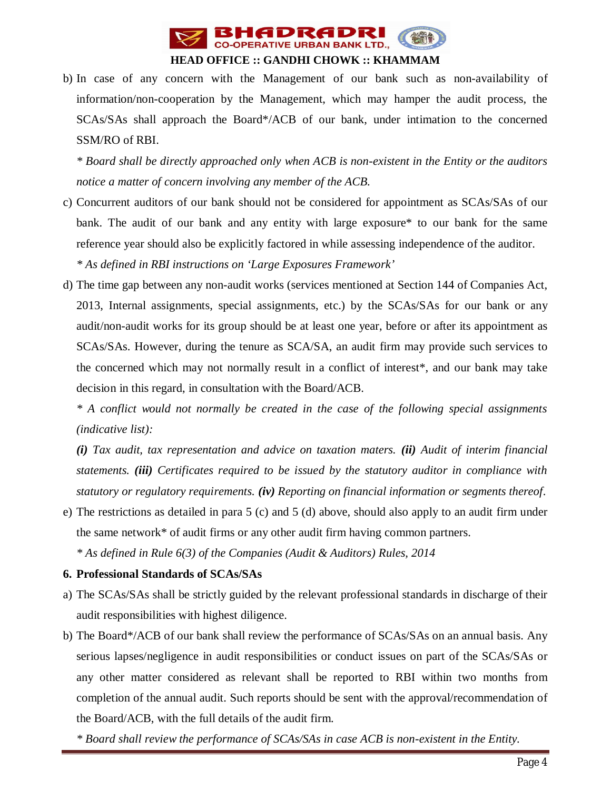

# **HEAD OFFICE :: GANDHI CHOWK :: KHAMMAM**

b) In case of any concern with the Management of our bank such as non-availability of information/non-cooperation by the Management, which may hamper the audit process, the SCAs/SAs shall approach the Board\*/ACB of our bank, under intimation to the concerned SSM/RO of RBI.

*\* Board shall be directly approached only when ACB is non-existent in the Entity or the auditors notice a matter of concern involving any member of the ACB.* 

- c) Concurrent auditors of our bank should not be considered for appointment as SCAs/SAs of our bank. The audit of our bank and any entity with large exposure\* to our bank for the same reference year should also be explicitly factored in while assessing independence of the auditor. *\* As defined in RBI instructions on 'Large Exposures Framework'*
- d) The time gap between any non-audit works (services mentioned at Section 144 of Companies Act, 2013, Internal assignments, special assignments, etc.) by the SCAs/SAs for our bank or any audit/non-audit works for its group should be at least one year, before or after its appointment as SCAs/SAs. However, during the tenure as SCA/SA, an audit firm may provide such services to the concerned which may not normally result in a conflict of interest\*, and our bank may take decision in this regard, in consultation with the Board/ACB.

*\* A conflict would not normally be created in the case of the following special assignments (indicative list):*

*(i) Tax audit, tax representation and advice on taxation maters. (ii) Audit of interim financial statements. (iii) Certificates required to be issued by the statutory auditor in compliance with statutory or regulatory requirements. (iv) Reporting on financial information or segments thereof.*

e) The restrictions as detailed in para 5 (c) and 5 (d) above, should also apply to an audit firm under the same network\* of audit firms or any other audit firm having common partners.

*\* As defined in Rule 6(3) of the Companies (Audit & Auditors) Rules, 2014*

#### **6. Professional Standards of SCAs/SAs**

- a) The SCAs/SAs shall be strictly guided by the relevant professional standards in discharge of their audit responsibilities with highest diligence.
- b) The Board\*/ACB of our bank shall review the performance of SCAs/SAs on an annual basis. Any serious lapses/negligence in audit responsibilities or conduct issues on part of the SCAs/SAs or any other matter considered as relevant shall be reported to RBI within two months from completion of the annual audit. Such reports should be sent with the approval/recommendation of the Board/ACB, with the full details of the audit firm.

*\* Board shall review the performance of SCAs/SAs in case ACB is non-existent in the Entity.*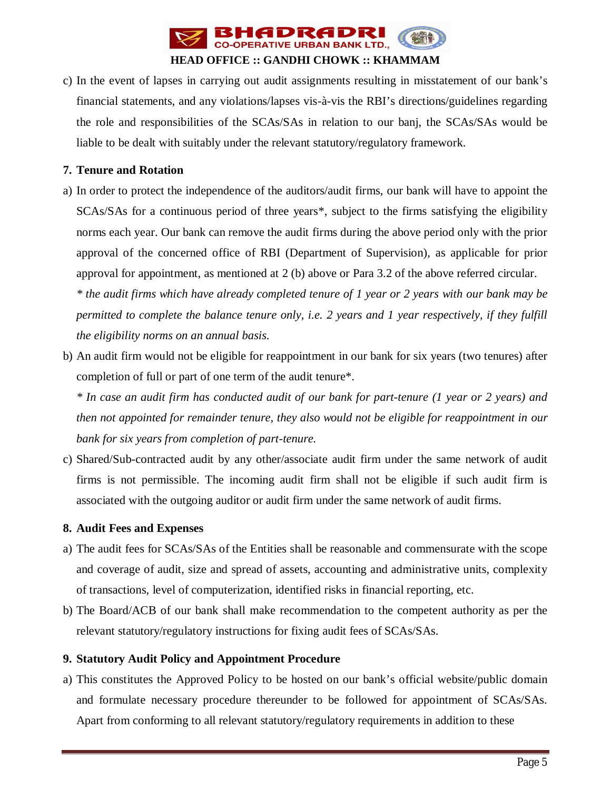

c) In the event of lapses in carrying out audit assignments resulting in misstatement of our bank's financial statements, and any violations/lapses vis-à-vis the RBI's directions/guidelines regarding the role and responsibilities of the SCAs/SAs in relation to our banj, the SCAs/SAs would be liable to be dealt with suitably under the relevant statutory/regulatory framework.

### **7. Tenure and Rotation**

a) In order to protect the independence of the auditors/audit firms, our bank will have to appoint the SCAs/SAs for a continuous period of three years\*, subject to the firms satisfying the eligibility norms each year. Our bank can remove the audit firms during the above period only with the prior approval of the concerned office of RBI (Department of Supervision), as applicable for prior approval for appointment, as mentioned at 2 (b) above or Para 3.2 of the above referred circular.

*\* the audit firms which have already completed tenure of 1 year or 2 years with our bank may be permitted to complete the balance tenure only, i.e. 2 years and 1 year respectively, if they fulfill the eligibility norms on an annual basis.*

b) An audit firm would not be eligible for reappointment in our bank for six years (two tenures) after completion of full or part of one term of the audit tenure\*.

*\* In case an audit firm has conducted audit of our bank for part-tenure (1 year or 2 years) and then not appointed for remainder tenure, they also would not be eligible for reappointment in our bank for six years from completion of part-tenure.*

c) Shared/Sub-contracted audit by any other/associate audit firm under the same network of audit firms is not permissible. The incoming audit firm shall not be eligible if such audit firm is associated with the outgoing auditor or audit firm under the same network of audit firms.

#### **8. Audit Fees and Expenses**

- a) The audit fees for SCAs/SAs of the Entities shall be reasonable and commensurate with the scope and coverage of audit, size and spread of assets, accounting and administrative units, complexity of transactions, level of computerization, identified risks in financial reporting, etc.
- b) The Board/ACB of our bank shall make recommendation to the competent authority as per the relevant statutory/regulatory instructions for fixing audit fees of SCAs/SAs.

# **9. Statutory Audit Policy and Appointment Procedure**

a) This constitutes the Approved Policy to be hosted on our bank's official website/public domain and formulate necessary procedure thereunder to be followed for appointment of SCAs/SAs. Apart from conforming to all relevant statutory/regulatory requirements in addition to these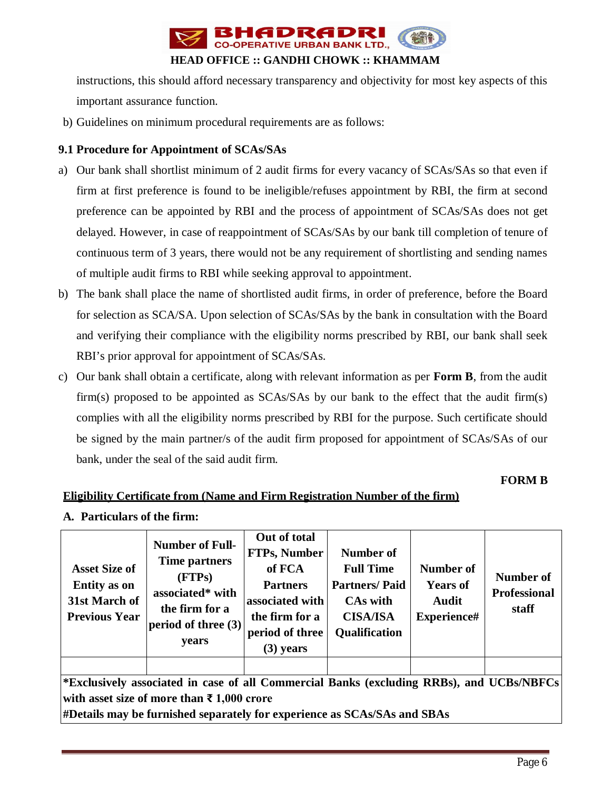

instructions, this should afford necessary transparency and objectivity for most key aspects of this important assurance function.

b) Guidelines on minimum procedural requirements are as follows:

#### **9.1 Procedure for Appointment of SCAs/SAs**

- a) Our bank shall shortlist minimum of 2 audit firms for every vacancy of SCAs/SAs so that even if firm at first preference is found to be ineligible/refuses appointment by RBI, the firm at second preference can be appointed by RBI and the process of appointment of SCAs/SAs does not get delayed. However, in case of reappointment of SCAs/SAs by our bank till completion of tenure of continuous term of 3 years, there would not be any requirement of shortlisting and sending names of multiple audit firms to RBI while seeking approval to appointment.
- b) The bank shall place the name of shortlisted audit firms, in order of preference, before the Board for selection as SCA/SA. Upon selection of SCAs/SAs by the bank in consultation with the Board and verifying their compliance with the eligibility norms prescribed by RBI, our bank shall seek RBI's prior approval for appointment of SCAs/SAs.
- c) Our bank shall obtain a certificate, along with relevant information as per **Form B**, from the audit firm(s) proposed to be appointed as SCAs/SAs by our bank to the effect that the audit firm(s) complies with all the eligibility norms prescribed by RBI for the purpose. Such certificate should be signed by the main partner/s of the audit firm proposed for appointment of SCAs/SAs of our bank, under the seal of the said audit firm.

#### **FORM B**

# **Eligibility Certificate from (Name and Firm Registration Number of the firm)**

**A. Particulars of the firm:**

| <b>Asset Size of</b><br><b>Entity</b> as on<br>31st March of<br><b>Previous Year</b>     | <b>Number of Full-</b><br>Time partners<br>(FTPs)<br>associated* with<br>the firm for a<br>period of three $(3)$<br>years | Out of total<br><b>FTPs, Number</b><br>of FCA<br><b>Partners</b><br>associated with<br>the firm for a<br>period of three<br>$(3)$ years | <b>Number of</b><br><b>Full Time</b><br><b>Partners/Paid</b><br>CAs with<br><b>CISA/ISA</b><br><b>Qualification</b> | Number of<br><b>Years of</b><br><b>Audit</b><br>Experience# | <b>Number of</b><br><b>Professional</b><br>staff |  |  |  |  |
|------------------------------------------------------------------------------------------|---------------------------------------------------------------------------------------------------------------------------|-----------------------------------------------------------------------------------------------------------------------------------------|---------------------------------------------------------------------------------------------------------------------|-------------------------------------------------------------|--------------------------------------------------|--|--|--|--|
|                                                                                          |                                                                                                                           |                                                                                                                                         |                                                                                                                     |                                                             |                                                  |  |  |  |  |
| *Exclusively associated in case of all Commercial Banks (excluding RRBs), and UCBs/NBFCs |                                                                                                                           |                                                                                                                                         |                                                                                                                     |                                                             |                                                  |  |  |  |  |
| with asset size of more than $\bar{\tau}$ 1,000 crore                                    |                                                                                                                           |                                                                                                                                         |                                                                                                                     |                                                             |                                                  |  |  |  |  |
| #Details may be furnished separately for experience as SCAs/SAs and SBAs                 |                                                                                                                           |                                                                                                                                         |                                                                                                                     |                                                             |                                                  |  |  |  |  |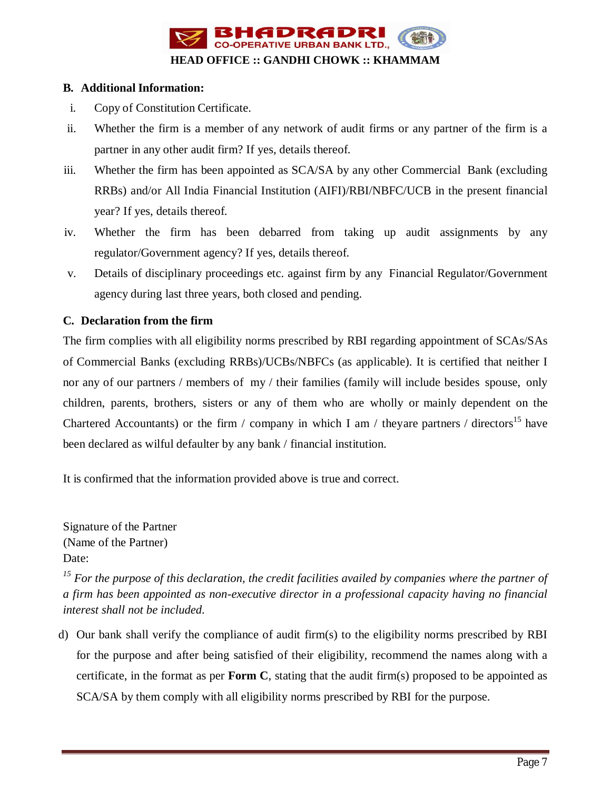

## **B. Additional Information:**

- i. Copy of Constitution Certificate.
- ii. Whether the firm is a member of any network of audit firms or any partner of the firm is a partner in any other audit firm? If yes, details thereof.
- iii. Whether the firm has been appointed as SCA/SA by any other Commercial Bank (excluding RRBs) and/or All India Financial Institution (AIFI)/RBI/NBFC/UCB in the present financial year? If yes, details thereof.
- iv. Whether the firm has been debarred from taking up audit assignments by any regulator/Government agency? If yes, details thereof.
- v. Details of disciplinary proceedings etc. against firm by any Financial Regulator/Government agency during last three years, both closed and pending.

# **C. Declaration from the firm**

The firm complies with all eligibility norms prescribed by RBI regarding appointment of SCAs/SAs of Commercial Banks (excluding RRBs)/UCBs/NBFCs (as applicable). It is certified that neither I nor any of our partners / members of my / their families (family will include besides spouse, only children, parents, brothers, sisters or any of them who are wholly or mainly dependent on the Chartered Accountants) or the firm / company in which I am / theyare partners / directors<sup>15</sup> have been declared as wilful defaulter by any bank / financial institution.

It is confirmed that the information provided above is true and correct.

Signature of the Partner (Name of the Partner) Date:

*<sup>15</sup> For the purpose of this declaration, the credit facilities availed by companies where the partner of a firm has been appointed as non-executive director in a professional capacity having no financial interest shall not be included.*

d) Our bank shall verify the compliance of audit firm(s) to the eligibility norms prescribed by RBI for the purpose and after being satisfied of their eligibility, recommend the names along with a certificate, in the format as per **Form C**, stating that the audit firm(s) proposed to be appointed as SCA/SA by them comply with all eligibility norms prescribed by RBI for the purpose.